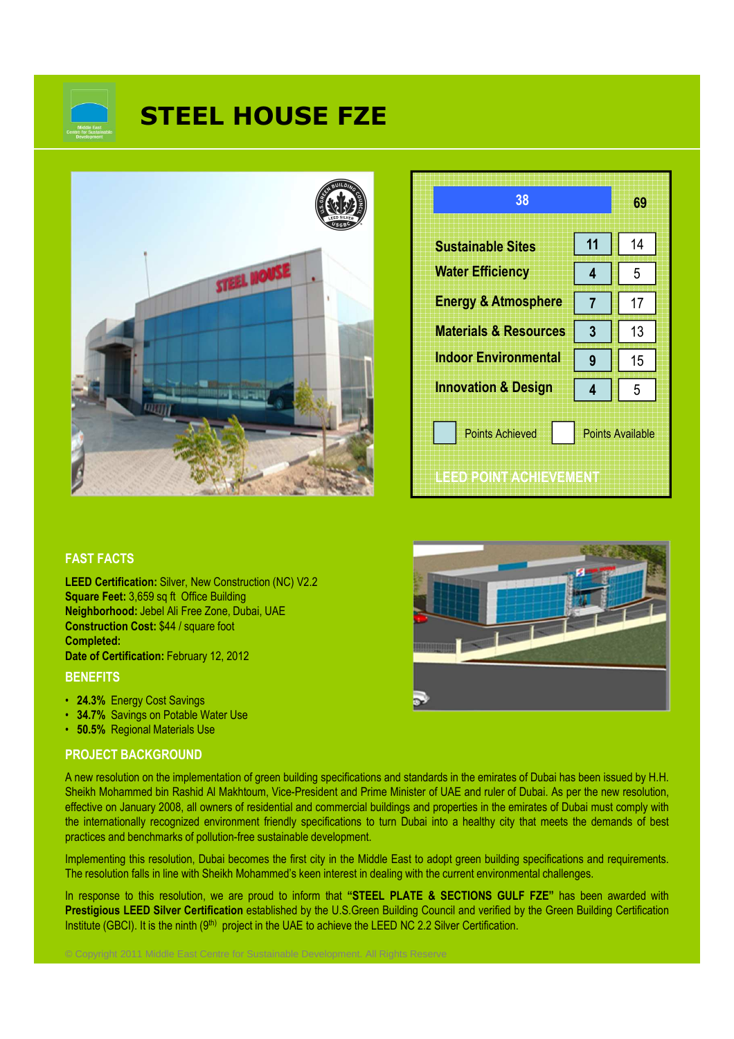

# **STEEL HOUSE FZE**



| 38                                                                                 |    | 69 |
|------------------------------------------------------------------------------------|----|----|
| <b>Sustainable Sites</b>                                                           | 11 | 14 |
| <b>Water Efficiency</b>                                                            | 4  | 5  |
| <b>Energy &amp; Atmosphere</b>                                                     |    | 17 |
| <b>Materials &amp; Resources</b>                                                   | 3  | 13 |
| <b>Indoor Environmental</b>                                                        | 9  | 15 |
| <b>Innovation &amp; Design</b>                                                     | 4  | 5  |
| <b>Points Achieved</b><br><b>Points Available</b><br><b>LEED POINT ACHIEVEMENT</b> |    |    |

#### **FAST FACTS**

**LEED Certification:** Silver, New Construction (NC) V2.2 **Square Feet:** 3,659 sq ft Office Building **Neighborhood:** Jebel Ali Free Zone, Dubai, UAE **Construction Cost:** \$44 / square foot **Completed: Date of Certification:** February 12, 2012

#### **BENEFITS**

- **24.3%** Energy Cost Savings
- **34.7%** Savings on Potable Water Use
- **50.5%** Regional Materials Use

#### **PROJECT BACKGROUND**

A new resolution on the implementation of green building specifications and standards in the emirates of Dubai has been issued by H.H. Sheikh Mohammed bin Rashid Al Makhtoum, Vice-President and Prime Minister of UAE and ruler of Dubai. As per the new resolution, effective on January 2008, all owners of residential and commercial buildings and properties in the emirates of Dubai must comply with the internationally recognized environment friendly specifications to turn Dubai into a healthy city that meets the demands of best practices and benchmarks of pollution-free sustainable development.

Implementing this resolution, Dubai becomes the first city in the Middle East to adopt green building specifications and requirements. The resolution falls in line with Sheikh Mohammed's keen interest in dealing with the current environmental challenges.

In response to this resolution, we are proud to inform that **"STEEL PLATE & SECTIONS GULF FZE"** has been awarded with **Prestigious LEED Silver Certification** established by the U.S.Green Building Council and verified by the Green Building Certification Institute (GBCI). It is the ninth (9<sup>th)</sup> project in the UAE to achieve the LEED NC 2.2 Silver Certification.

© Copyright 2011 Middle East Centre for Sustainable Development. All Rights Reserve